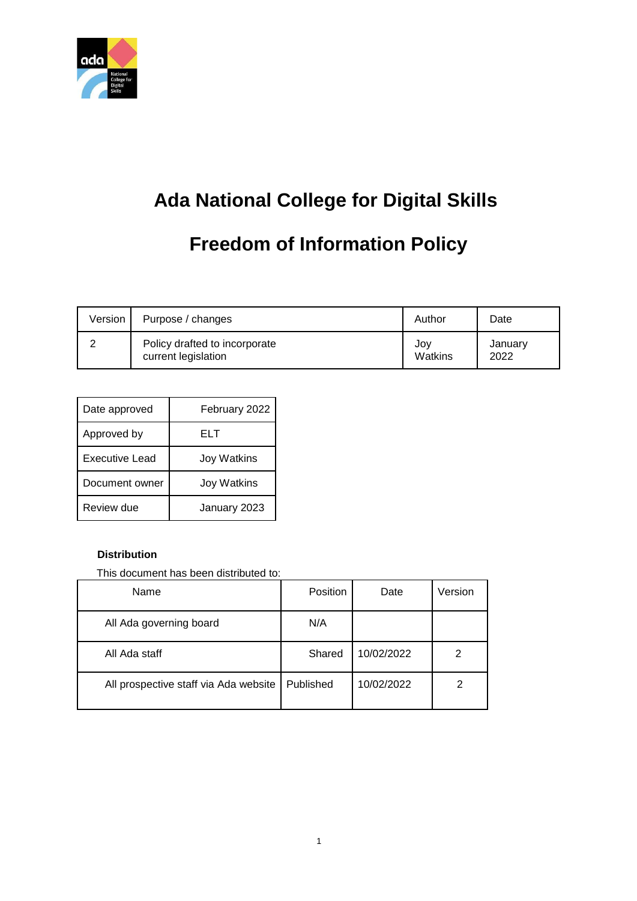

## **Ada National College for Digital Skills**

# **Freedom of Information Policy**

| Version | Purpose / changes             | Author  | Date    |
|---------|-------------------------------|---------|---------|
|         | Policy drafted to incorporate | Jov     | January |
|         | current legislation           | Watkins | 2022    |

| Date approved  | February 2022      |  |
|----------------|--------------------|--|
| Approved by    | ELT                |  |
| Executive Lead | <b>Joy Watkins</b> |  |
| Document owner | <b>Joy Watkins</b> |  |
| Review due     | January 2023       |  |

#### **Distribution**

This document has been distributed to:

| Name                                  | <b>Position</b> | Date       | Version |
|---------------------------------------|-----------------|------------|---------|
| All Ada governing board               | N/A             |            |         |
| All Ada staff                         | Shared          | 10/02/2022 | 2       |
| All prospective staff via Ada website | Published       | 10/02/2022 | 2       |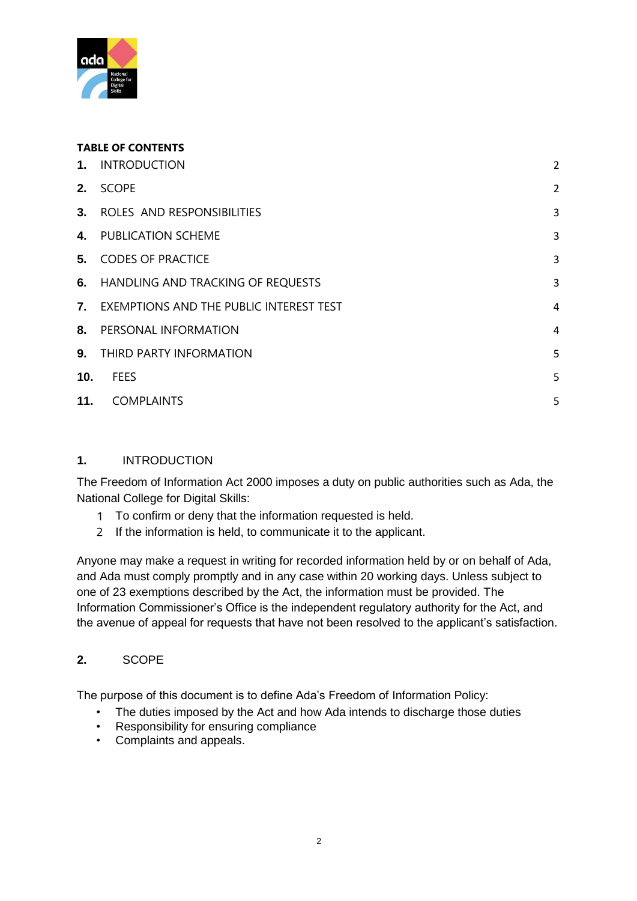

#### **TABLE OF CONTENTS**

| 1.  | <b>INTRODUCTION</b>                        | $\overline{2}$ |
|-----|--------------------------------------------|----------------|
| 2.  | <b>SCOPE</b>                               | $\overline{2}$ |
|     | 3. ROLES AND RESPONSIBILITIES              | 3              |
|     | 4. PUBLICATION SCHEME                      | 3              |
|     | <b>5. CODES OF PRACTICE</b>                | 3              |
|     | 6. HANDLING AND TRACKING OF REQUESTS       | 3              |
|     | 7. EXEMPTIONS AND THE PUBLIC INTEREST TEST | $\overline{4}$ |
|     | 8. PERSONAL INFORMATION                    | $\overline{4}$ |
|     | 9. THIRD PARTY INFORMATION                 | 5              |
| 10. | <b>FEES</b>                                | 5              |
| 11. | <b>COMPLAINTS</b>                          | 5              |
|     |                                            |                |

#### <span id="page-1-0"></span>**1.** INTRODUCTION

The Freedom of Information Act 2000 imposes a duty on public authorities such as Ada, the National College for Digital Skills:

- 1 To confirm or deny that the information requested is held.
- 2 If the information is held, to communicate it to the applicant.

Anyone may make a request in writing for recorded information held by or on behalf of Ada, and Ada must comply promptly and in any case within 20 working days. Unless subject to one of 23 exemptions described by the Act, the information must be provided. The Information Commissioner's Office is the independent regulatory authority for the Act, and the avenue of appeal for requests that have not been resolved to the applicant's satisfaction.

## <span id="page-1-1"></span>**2.** SCOPE

The purpose of this document is to define Ada's Freedom of Information Policy:

- The duties imposed by the Act and how Ada intends to discharge those duties
- Responsibility for ensuring compliance
- Complaints and appeals.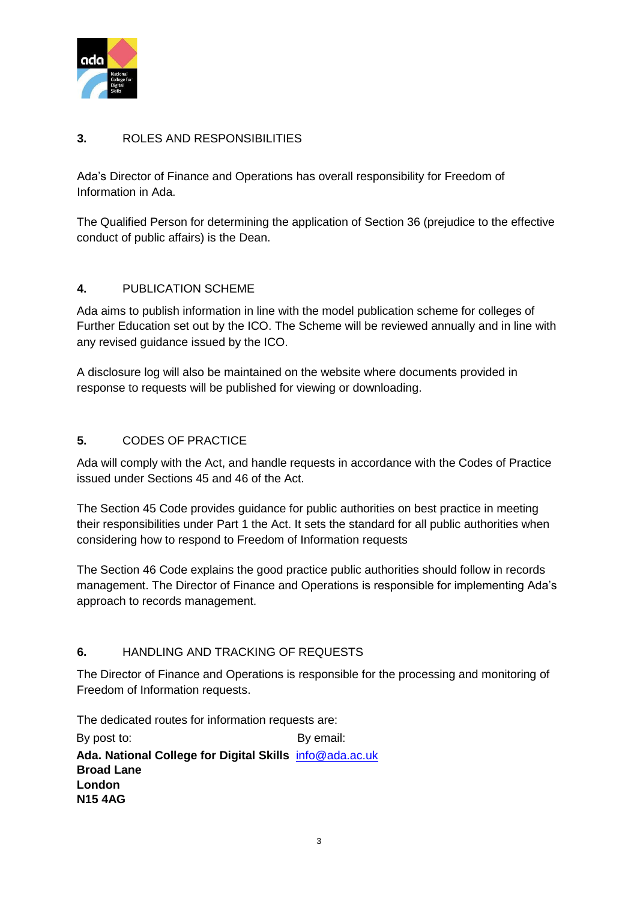

## <span id="page-2-0"></span>**3.** ROLES AND RESPONSIBILITIES

Ada's Director of Finance and Operations has overall responsibility for Freedom of Information in Ada.

The Qualified Person for determining the application of Section 36 (prejudice to the effective conduct of public affairs) is the Dean.

#### <span id="page-2-1"></span>**4.** PUBLICATION SCHEME

Ada aims to publish information in line with the model publication scheme for colleges of Further Education set out by the ICO. The Scheme will be reviewed annually and in line with any revised guidance issued by the ICO.

A disclosure log will also be maintained on the website where documents provided in response to requests will be published for viewing or downloading.

#### <span id="page-2-2"></span>**5.** CODES OF PRACTICE

Ada will comply with the Act, and handle requests in accordance with the Codes of Practice issued under Sections 45 and 46 of the Act.

The Section 45 Code provides guidance for public authorities on best practice in meeting their responsibilities under Part 1 the Act. It sets the standard for all public authorities when considering how to respond to Freedom of Information requests

The Section 46 Code explains the good practice public authorities should follow in records management. The Director of Finance and Operations is responsible for implementing Ada's approach to records management.

#### <span id="page-2-3"></span>**6.** HANDLING AND TRACKING OF REQUESTS

The Director of Finance and Operations is responsible for the processing and monitoring of Freedom of Information requests.

The dedicated routes for information requests are:

By post to: By email: **Ada. National College for Digital Skills** info@ada.ac.uk **Broad Lane London N15 4AG**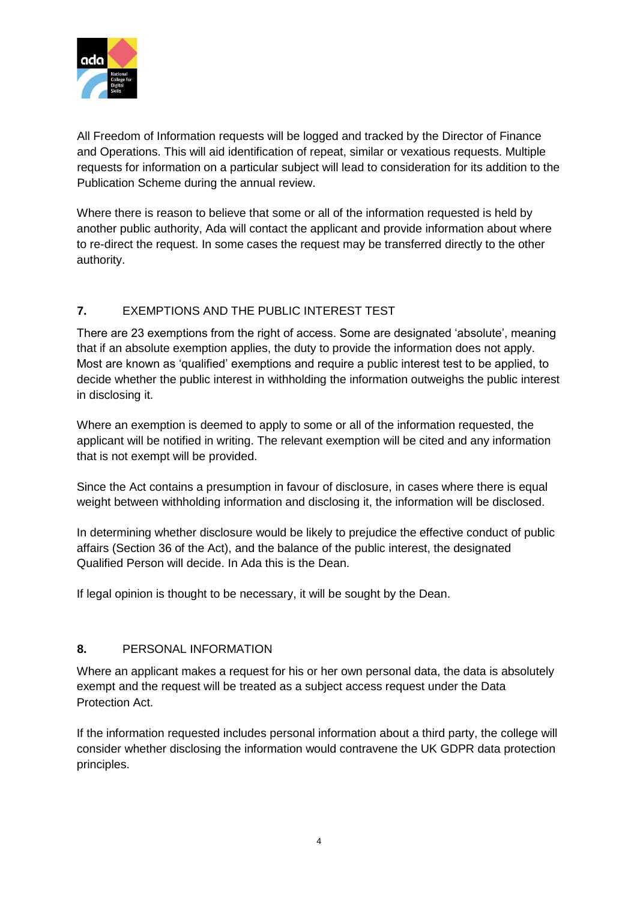

All Freedom of Information requests will be logged and tracked by the Director of Finance and Operations. This will aid identification of repeat, similar or vexatious requests. Multiple requests for information on a particular subject will lead to consideration for its addition to the Publication Scheme during the annual review.

Where there is reason to believe that some or all of the information requested is held by another public authority, Ada will contact the applicant and provide information about where to re-direct the request. In some cases the request may be transferred directly to the other authority.

## <span id="page-3-0"></span>**7.** EXEMPTIONS AND THE PUBLIC INTEREST TEST

There are 23 exemptions from the right of access. Some are designated 'absolute', meaning that if an absolute exemption applies, the duty to provide the information does not apply. Most are known as 'qualified' exemptions and require a public interest test to be applied, to decide whether the public interest in withholding the information outweighs the public interest in disclosing it.

Where an exemption is deemed to apply to some or all of the information requested, the applicant will be notified in writing. The relevant exemption will be cited and any information that is not exempt will be provided.

Since the Act contains a presumption in favour of disclosure, in cases where there is equal weight between withholding information and disclosing it, the information will be disclosed.

In determining whether disclosure would be likely to prejudice the effective conduct of public affairs (Section 36 of the Act), and the balance of the public interest, the designated Qualified Person will decide. In Ada this is the Dean.

If legal opinion is thought to be necessary, it will be sought by the Dean.

## <span id="page-3-1"></span>**8.** PERSONAL INFORMATION

Where an applicant makes a request for his or her own personal data, the data is absolutely exempt and the request will be treated as a subject access request under the Data Protection Act.

If the information requested includes personal information about a third party, the college will consider whether disclosing the information would contravene the UK GDPR data protection principles.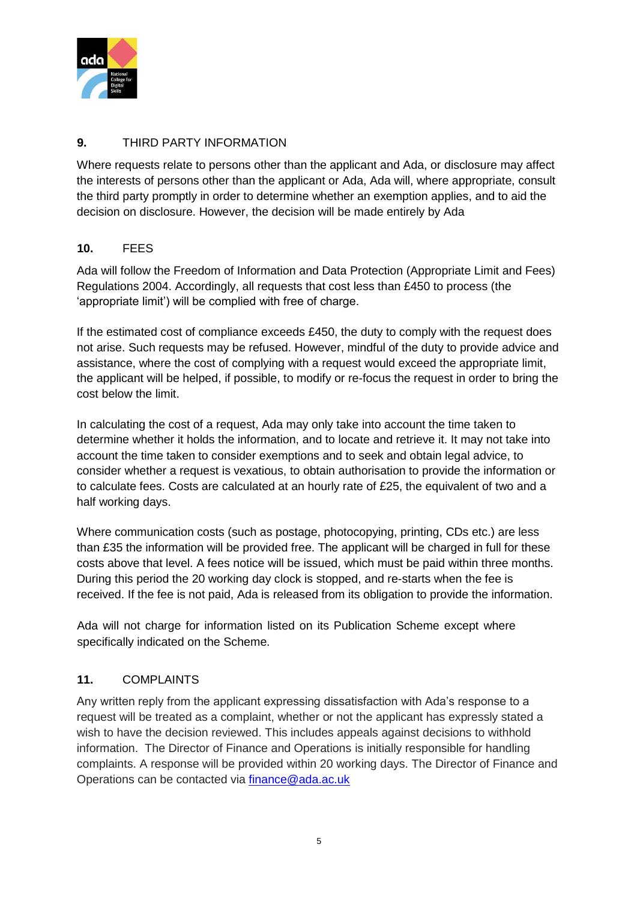

#### <span id="page-4-0"></span>**9.** THIRD PARTY INFORMATION

Where requests relate to persons other than the applicant and Ada, or disclosure may affect the interests of persons other than the applicant or Ada, Ada will, where appropriate, consult the third party promptly in order to determine whether an exemption applies, and to aid the decision on disclosure. However, the decision will be made entirely by Ada

### <span id="page-4-1"></span>**10.** FEES

Ada will follow the Freedom of Information and Data Protection (Appropriate Limit and Fees) Regulations 2004. Accordingly, all requests that cost less than £450 to process (the 'appropriate limit') will be complied with free of charge.

If the estimated cost of compliance exceeds £450, the duty to comply with the request does not arise. Such requests may be refused. However, mindful of the duty to provide advice and assistance, where the cost of complying with a request would exceed the appropriate limit, the applicant will be helped, if possible, to modify or re-focus the request in order to bring the cost below the limit.

In calculating the cost of a request, Ada may only take into account the time taken to determine whether it holds the information, and to locate and retrieve it. It may not take into account the time taken to consider exemptions and to seek and obtain legal advice, to consider whether a request is vexatious, to obtain authorisation to provide the information or to calculate fees. Costs are calculated at an hourly rate of £25, the equivalent of two and a half working days.

Where communication costs (such as postage, photocopying, printing, CDs etc.) are less than £35 the information will be provided free. The applicant will be charged in full for these costs above that level. A fees notice will be issued, which must be paid within three months. During this period the 20 working day clock is stopped, and re-starts when the fee is received. If the fee is not paid, Ada is released from its obligation to provide the information.

Ada will not charge for information listed on its Publication Scheme except where specifically indicated on the Scheme.

## <span id="page-4-2"></span>**11.** COMPLAINTS

Any written reply from the applicant expressing dissatisfaction with Ada's response to a request will be treated as a complaint, whether or not the applicant has expressly stated a wish to have the decision reviewed. This includes appeals against decisions to withhold information. The Director of Finance and Operations is initially responsible for handling complaints. A response will be provided within 20 working days. The Director of Finance and Operations can be contacted via finance@ada.ac.uk